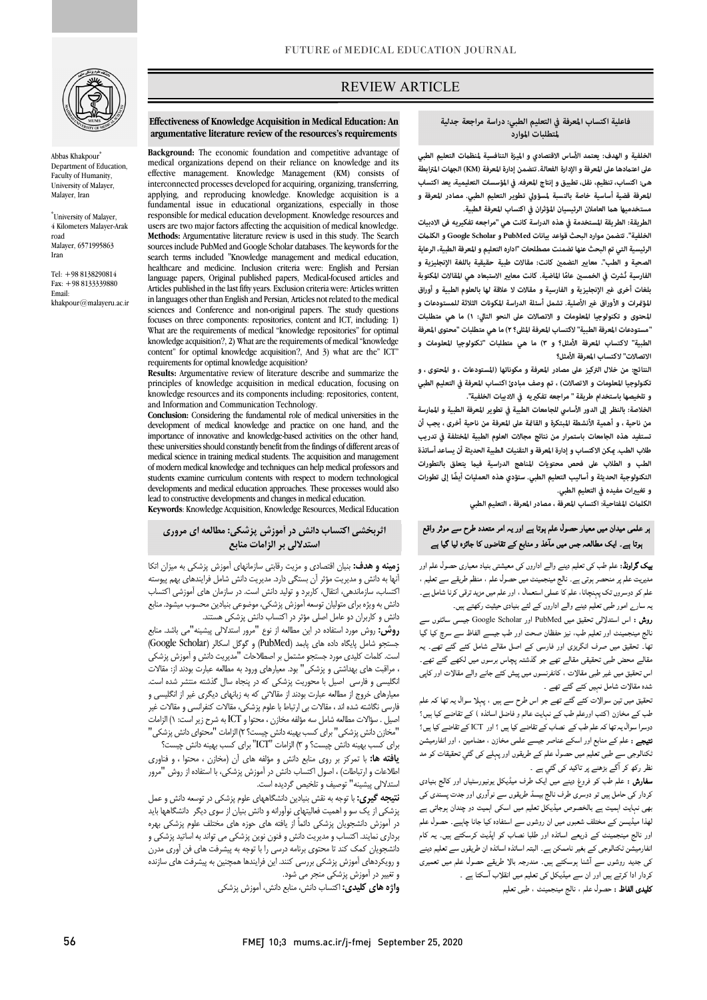## REVIEW ARTICLE

#### **فاعلية اكتساب المعرفة في التعليم الطبي: دراسة مراجعة جدلية لمتطلبات الموارد**

ص

 **الخلفية و الهدف: يعتمد الأساس الاقتصادي و الميزة التنافسية لمنظت التعليم الطبي هی: اكتساب، تنظيم، نقل، تطبيق و إنتاج المعرفه. في المؤسسات التعليمية، يعد اكتساب المعرفة قضية أساسية خاصة بالنسبة لمسؤولي تطوير التعليم الطبي. مصادر المعرفة و**  مستخدميها هما العاملان الرئيسيان المؤثران في اكتساب المعرفة الطبية.<br>. **على اعتدها على المعرفة و الإدارة الفعالة. تتضمن إدارة المعرفة (KM (الجهات المترابطة** 

 **الخلفية". تتضمن موارد البحث قواعد بيانات PubMed و Scholar Google و الكلت الرئيسية التي تم البحث عنها تضمنت مصطلحات "اداره التعلیم و المعرفة الطبية، الرعاية**  الصحية و الطب". معايير التضمين كانت: مقالات طبية حقيقية باللغة الإنجليزية و الفارسية نُشرت في الخمسين عامًا الماضية. كانت معايير الاستبعاد هي المقالات المكتوبة<br>-.<br>المؤتمرات و الأوراق غير الأصلية. تشمل أسئلة الدراسة المكونات الثلاثة للمستودعات و <sub>.</sub><br>المؤتمرات و الأوراق غير الأصلية. تشمل أسئلة الدراسة المكونات الثلاثة للمستودعات و **المحتوى و تكنولوجيا المعلومات و الاتصالات على النحو التالي: ۱) ما هي متطلبات "مستودعات المعرفة الطبية" لاكتساب المعرفة المثلى؟ ۲) ما هي متطلبات "محتوى المعرفة الاتصالات" لاكتساب المعرفة الأمثل؟ الطريقة: الطريقة المستخدمة في هذه الدراسة کانت هي "مراجعه تفکیریه فی الادبیات بلغات أخرى غ الإنجليزية و الفارسية و مقالات لا علاقة لها بالعلوم الطبية و أوراق الطبية" لاكتساب المعرفة الأمثل؟ و ۳) ما هي متطلبات "تكنولوجيا المعلومات و** 

 **النتائج: من خلال التركيز على مصادر المعرفة و مكوناتها (المستودعات ، و المحتوى ، و تكنولوجيا المعلومات و الاتصالات) ، تم وصف مبادئ اكتساب المعرفة في التعليم الطبي و تلخيصها باستخدام طريقة " مراجعه تفكیه في الادبیات الخلفية".**

 **من ناحية ، و أهمية الأنشطة المبتكرة و القاة على المعرفة من ناحية أخرى ، يجب أن تستفيد هذه الجامعات باستمرار من نتائج مجالات العلوم الطبية المختلفة في تدريب طلاب الطب. كن الاكتساب و إدارة المعرفة و التقنيات الطبية الحديثة أن يساعد أساتذة ً التكنولوجية الحديثة و أساليب التعليم الطبي. ستؤدي هذه العمليات أيضا إلى تطورات و تغيات مفیده في التعليم الطبي. الخلاصة: بالنظر إلى الدور الأساسي للجامعات الطبية في تطوير المعرفة الطبية و المرسة الطب و الطلاب على فحص محتويات المناهج الدراسية في يتعلق بالتطورات** 

**الكلت المفتاحية: اكتساب المعرفة ، مصادر المعرفة ، التعليم الطبي**

# ۔<br>بر علمی میدان میں معیار حصول علم ہوتا ہے اور یہ امر متعدد طرح سے موٹر واقع ۔ ا ٓ و ں ہ

**یت تراویہ:** عتم عب فی تعلیم بیتے والے اناروں کی منیستی بید منیاری حصول علم اور<br>مدیریت علم پر منحصر ہوتی ہے۔ نالج مینجمینٹ میں حصول علم ، منظم طریقے سے تعلیم ، ۔<br>علم کو دوسروں تک پہنچانا، علم کا عملی استعمال ، اور علم میں مزید ترقی کرنا شامل ہے۔ بہ سار<sub>ے</sub> امور طبی تعلیم دینے والے اداروں کے لئے بنیادی حیثیت رکھتے ہیں۔ **بیک گراونڈ:** علم طب کی تعلیم دینے والے اداروں کی معیشتی بنیاد معیاری حصول علم اور

روش : اس استدلالی تحقیق میں PubMed اور Google Scholar جیسی سائٹوں سے<br>. ع میں معرف سے اس کے لیے اس کے لیے اور اس کے لیے میں اس کے لیے اس کے لیے اس کے لیے اس کے لیے اس کے لیے اس کے لی<br>نھا۔ تحقیق میں صرف انگریزی اور فارسی کے اصل مقالے شامل کئے گئے تھے۔ یہ مقالے محض طبی تحقیقی مقالے تھے جو گذشتہ پچاس برسوں میں لکھے گئے تھے۔ اس تحقیق میں غیر طبی مقالات ، کانفرنسوں میں پیش کئے جانے والے مقالات اور کاپی ہ ت ۔ نالج مینجمینٹ اور تعلیم طب، نیز حفظان صحت اور طب جیسے الفاظ سے سرچ کیا گیا

یں ہیں ہیں کہ اس کے لیے دیں ہیں ہیں ہیں ۔<br>طب کے مخازن (کتب اورعلم طب کے نہایت عالم و فاضل اساتذہ ) کے تقاضے کیا ہیں؟ دوسرا سوال یہ تھا کہ علم طب کے نصاب کے تقاضے کیا ہیں ؟ اور ICT کے تقاضے کیا ہیں؟ **تیبجے :** علم کے منابع اور اسکے عناصر جیسے علمی مخازن ، مضامین ، اور انفارمیشن لکنالوجی سے طبی تعلیم میں حصول علم کے طریقوں اور پہلے کی گئي تحقیقات کو مد<br>بل حرم کے تحقیق میں تین سوالات کئے گئے تھے جو اس طرح سے ہیں ، پہلا سوال یہ تھا کہ علم نظر رکھ کر آگے بڑھنے پر تاکید کی گئی ہے ۔

**سفارش :** علم طب کو فروغ دینے میں ایک طرف میڈیکل یونیورسٹیاں اور کالج بنیادی کردار کی حامل ہیں تو دوسری طرف نالج بیسڈ طریقوں سے نوآوری اور جدت پسندی کی بھی نہایت اہمیت ہے بالخصوص میڈیکل تعلیم میں اسکی اہمیت دو چندان ہوجاتی ہے اور ذر اہ اور ب ا ۔ م انفارمیشن ٹکنالوجی کے بغیر ناممکن ہے۔ البتہ اساتذہ اساتذہ ان طریقوں سے تعلیم دینے کی جدید روشوں سے آشنا ہوسکتے ہیں۔ مندرجہ بالا طریقے حصول علم میں تعمیری کردار ادا کرتے ہیں اور ان سے میڈیکل کی تعلیم میں انقلاب آسکتا ہے ۔<br>۔۔۔۔۔۔۔۔۔۔ **کلیدی الفاظ :** حصول علم ، نالج مینجمینٹ ، طب*ی* تعلیم<br>. لھذا میڈیسن کے مختلف شعبوں میں ان روشوں سے استفادہ کیا جانا چاہیے۔ حصول علم

#### **Effectiveness of Knowledge Acquisition in Medical Education: An argumentative literature review of the resources's requirements**

Ī

 **Background:** The economic foundation and competitive advantage of medical organizations depend on their reliance on knowledge and its interconnected processes developed for acquiring, organizing, transferring, applying, and reproducing knowledge. Knowledge acquisition is a responsible for medical education development. Knowledge resources and users are two major factors affecting the acquisition of medical knowledge. sources include PubMed and Google Scholar databases. The keywords for the healthcare and medicine. Inclusion criteria were: English and Persian language papers, Original published papers, Medical-focused articles and in languages other than English and Persian, Articles not related to the medical focuses on three components: repositories, content and ICT, including: 1) What are the requirements of medical "knowledge repositories" for optimal content" for optimal knowledge acquisition?, And 3) what are the" ICT" effective management. Knowledge Management (KM) consists of fundamental issue in educational organizations, especially in those **Methods:** Argumentative literature review is used in this study. The Search search terms included "Knowledge management and medical education, Articles published in the last fifty years. Exclusion criteria were: Articles written sciences and Conference and non-original papers. The study questions knowledge acquisition?, 2) What are the requirements of medical "knowledge requirements for optimal knowledge acquisition?

 **Results:** Argumentative review of literature describe and summarize the principles of knowledge acquisition in medical education, focusing on and Information and Communication Technology. knowledge resources and its components including: repositories, content,

 **Conclusion:** Considering the fundamental role of medical universities in the importance of innovative and knowledge-based activities on the other hand, medical science in training medical students. The acquisition and management of modern medical knowledge and techniques can help medical professors and developments and medical education approaches. These processes would also lead to constructive developments and changes in medical education. development of medical knowledge and practice on one hand, and the these universities should constantly benefit from the findings of different areas of students examine curriculum contents with respect to modern technological **Keywords**: Knowledge Acquisition, Knowledge Resources, Medical Education

### **استدلالی بر الزامات منابع اثربخشی اکتساب دانش در آموزش پزشکی: مطالعه اي مروري**

ر<sub>د</sub>ی کی معیشتی بنیاد معیاری حصول علم اور **بازن و هدف:** بنیان اقتصادی و مزیت رقابتی سازمانهای آموزش پزشکی به میزان اتکا<br>استان استان استفاده اکتساب، سازماندهی، انتقال، کاربرد و تولید دانش است. در سازمان هاي آموزشی اکتساب دانش به ویژه براي متولیان توسعهآموزش پزشکی، موضوعی بنیادین محسوب میشود. منابع آنها به دانش و مدیریت مؤثر آن بستگی دارد. مدیریت دانش شامل فرایندهاي بهم پیوسته دانش و کاربران دو عامل اصلی مؤثر در اکتساب دانش پزشکی هستند.

 **روش:** روش مورد استفاده در این مطالعه از نوع "مرور استدلالی پیشینه"می باشد. منابع جستجو شامل پایگاه داده هاي پابمد (PubMed (و گوگل اسکالر (Scholar Google ( است. کلمات کلیدي مورد جستجو مشتمل بر اصطلاحات "مدیریت دانش و آموزش پزشکی ، مراقبت های بهداشتی و پزشکی" بود. معیارهای ورود به مطالعه عبارت بودند از: مقالات<br>محل معیارهاي خروج از مطالعه عبارت بودند از مقالاتی که به زبانهاي دیگري غیر از انگلیسی و فارسی نگاشته شده اند ، مقالات بی ارتباط با علوم پزشکی، مقالات کنفرانسی و مقالات غیر حتين . سواء که همانند شامل شد موسد شامارن ، شاعبوا و 2014 به سرح ريز است. ۲۰ ابرايات<br>"مخازن دانش پزشکی" برای کسب بهینه دانش چیست؟ ۲) الزامات "محتوای دانش پزشکی" براي کسب بهینه دانش چیست؟ و 3) الزامات "ICT "براي کسب بهینه دانش چیست؟ انگلیسی و فارسی اصیل با محوریت پزشکی که در پنجاه سال گذشته منتشر شده است. اصیل . سؤالات مطالعه شامل سه مؤلفه مخازن ، محتوا و ICT به شرح زیر است: 1) الزامات

 **یافته ها:** با تمرکز بر روي منابع دانش و مؤلفه هاي آن (مخازن ، محتوا ، و فناوري اطلاعات و ارتباطات) ، اصول اکتساب دانش در آموزش پزشکی، با استفاده از روش "مرور استدلالی پیشینه" توصیف و تلخیص گردیده است.

 **نتیجه گیري:** با توجه به نقش بنیادین دانشگاههاي علوم پزشکی در توسعهدانش و عمل پزشکی از یک سو و اهمیت فعالیتهاي نوآورانه و دانش بنیان از سوي دیگر دانشگاهها باید در آموزش دانشجویان پزشکی دائماً از یافته هاي حوزه هاي مختلف علوم پزشکی بهره دانشجویان کمک کند تا محتوي برنامه درسی را با توجه به پیشرفت هاي فن آوري مدرن و رویکردهاي آموزش پزشکی بررسی کنند. این فرایندها همچنین به پیشرفت هاي سازنده و تغییر در آموزش پزشکی منجر می شود.<br>1. منابع استر برداري نمایند. اکتساب و مدیریت دانش و فنون نوین پزشکی می تواند به اساتید پزشکی و

**واژه هاي کلیدي:** اکتساب دانش، منابع دانش، آموزش پزشکی



Abbas Khakpour<sup>\*</sup> Department of Education, Faculty of Humanity, University of Malayer, Malayer, Iran

\* University of Malayer, 4 Kilometers Malayer-Arak road Malayer, 6571995863 Iran

Tel: +98 8138290814 Fax: +98 8133339880 Email: khakpour@malayeru.ac.ir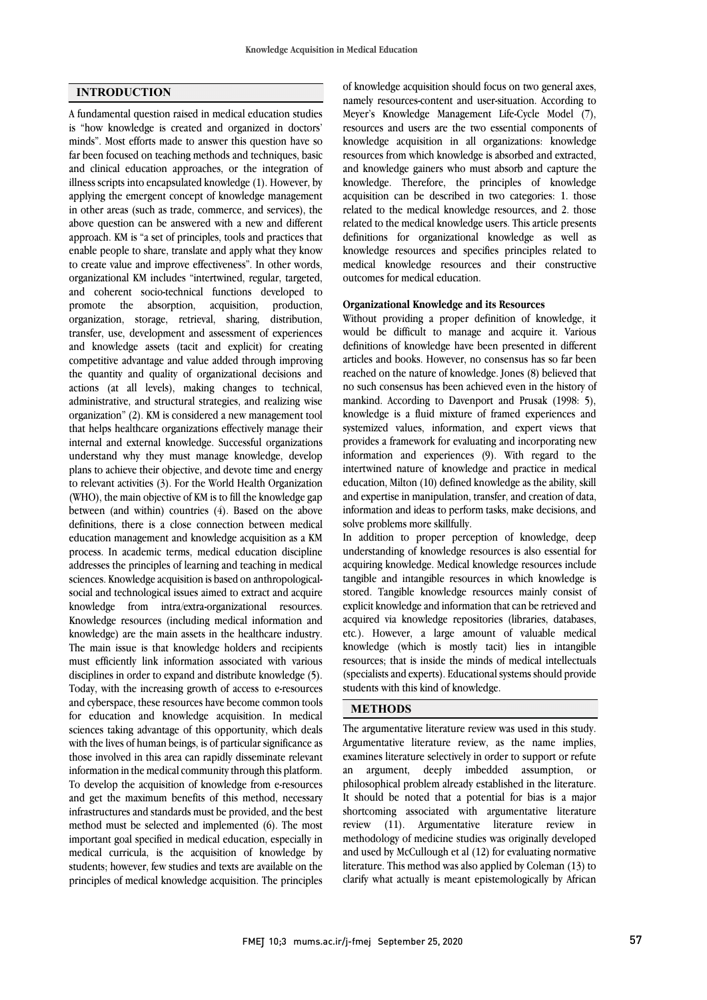### **INTRODUCTION**

A fundamental question raised in medical education studies is "how knowledge is created and organized in doctors' minds". Most efforts made to answer this question have so far been focused on teaching methods and techniques, basic and clinical education approaches, or the integration of illness scripts into encapsulated knowledge (1). However, by applying the emergent concept of knowledge management in other areas (such as trade, commerce, and services), the above question can be answered with a new and different approach. KM is "a set of principles, tools and practices that enable people to share, translate and apply what they know to create value and improve effectiveness". In other words, organizational KM includes "intertwined, regular, targeted, and coherent socio-technical functions developed to promote the absorption, acquisition, production, organization, storage, retrieval, sharing, distribution, transfer, use, development and assessment of experiences and knowledge assets (tacit and explicit) for creating competitive advantage and value added through improving the quantity and quality of organizational decisions and actions (at all levels), making changes to technical, administrative, and structural strategies, and realizing wise organization" (2). KM is considered a new management tool that helps healthcare organizations effectively manage their internal and external knowledge. Successful organizations understand why they must manage knowledge, develop plans to achieve their objective, and devote time and energy to relevant activities (3). For the World Health Organization (WHO), the main objective of KM is to fill the knowledge gap between (and within) countries (4). Based on the above definitions, there is a close connection between medical education management and knowledge acquisition as a KM process. In academic terms, medical education discipline addresses the principles of learning and teaching in medical sciences. Knowledge acquisition is based on anthropologicalsocial and technological issues aimed to extract and acquire knowledge from intra/extra-organizational resources. Knowledge resources (including medical information and knowledge) are the main assets in the healthcare industry. The main issue is that knowledge holders and recipients must efficiently link information associated with various disciplines in order to expand and distribute knowledge (5). Today, with the increasing growth of access to e-resources and cyberspace, these resources have become common tools for education and knowledge acquisition. In medical sciences taking advantage of this opportunity, which deals with the lives of human beings, is of particular significance as those involved in this area can rapidly disseminate relevant information in the medical community through this platform. To develop the acquisition of knowledge from e-resources and get the maximum benefits of this method, necessary infrastructures and standards must be provided, and the best method must be selected and implemented (6). The most important goal specified in medical education, especially in medical curricula, is the acquisition of knowledge by students; however, few studies and texts are available on the principles of medical knowledge acquisition. The principles

 namely resources-content and user-situation. According to Meyer's Knowledge Management Life-Cycle Model (7), resources and users are the two essential components of knowledge acquisition in all organizations: knowledge and knowledge gainers who must absorb and capture the knowledge. Therefore, the principles of knowledge acquisition can be described in two categories: 1. those related to the medical knowledge resources, and 2. those definitions for organizational knowledge as well as knowledge resources and specifies principles related to medical knowledge resources and their constructive outcomes for medical education. of knowledge acquisition should focus on two general axes, resources from which knowledge is absorbed and extracted, related to the medical knowledge users. This article presents

# **Organizational Knowledge and its Resources**

 Without providing a proper definition of knowledge, it would be difficult to manage and acquire it. Various definitions of knowledge have been presented in different reached on the nature of knowledge. Jones (8) believed that no such consensus has been achieved even in the history of mankind. According to Davenport and Prusak (1998: 5), knowledge is a fluid mixture of framed experiences and provides a framework for evaluating and incorporating new information and experiences (9). With regard to the intertwined nature of knowledge and practice in medical education, Milton (10) defined knowledge as the ability, skill information and ideas to perform tasks, make decisions, and solve problems more skillfully. articles and books. However, no consensus has so far been systemized values, information, and expert views that and expertise in manipulation, transfer, and creation of data,

 In addition to proper perception of knowledge, deep understanding of knowledge resources is also essential for tangible and intangible resources in which knowledge is stored. Tangible knowledge resources mainly consist of explicit knowledge and information that can be retrieved and acquired via knowledge repositories (libraries, databases, knowledge (which is mostly tacit) lies in intangible resources; that is inside the minds of medical intellectuals (specialists and experts). Educational systems should provide students with this kind of knowledge. acquiring knowledge. Medical knowledge resources include etc*.*). However, a large amount of valuable medical

### **METHODS**

 The argumentative literature review was used in this study. Argumentative literature review, as the name implies, examines literature selectively in order to support or refute philosophical problem already established in the literature. It should be noted that a potential for bias is a major shortcoming associated with argumentative literature review (11). Argumentative literature review in and used by McCullough et al (12) for evaluating normative literature. This method was also applied by Coleman (13) to clarify what actually is meant epistemologically by African argument, deeply imbedded assumption, or methodology of medicine studies was originally developed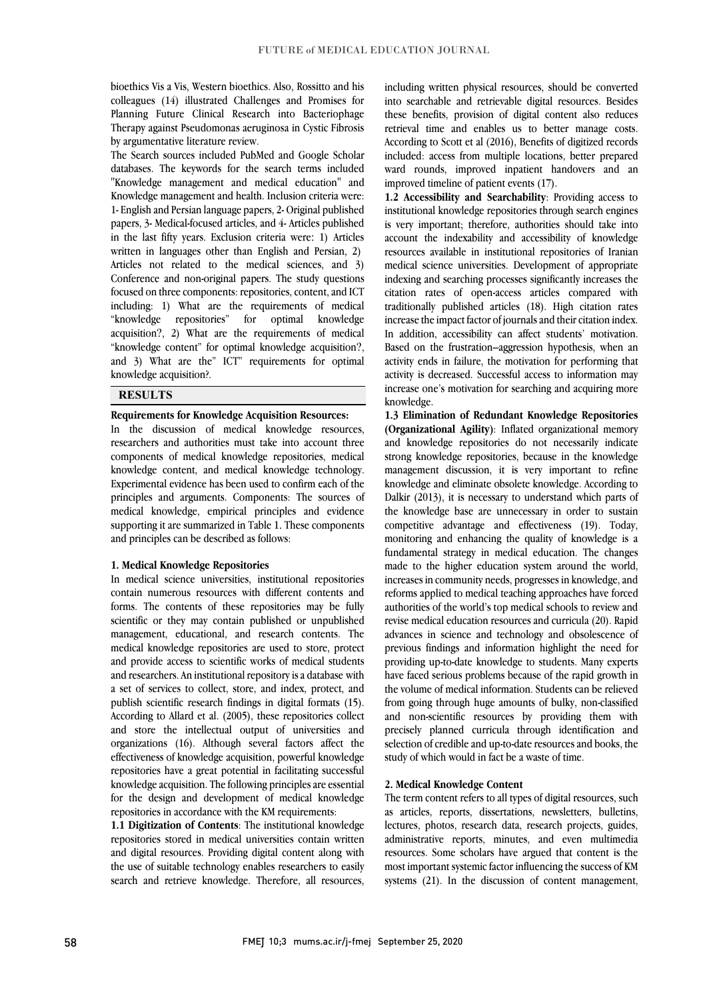colleagues (14) illustrated Challenges and Promises for Planning Future Clinical Research into Bacteriophage Therapy against Pseudomonas aeruginosa in Cystic Fibrosis bioethics Vis a Vis, Western bioethics. Also, Rossitto and his by argumentative literature review.

 The Search sources included PubMed and Google Scholar "Knowledge management and medical education" and Knowledge management and health. Inclusion criteria were: 1- English and Persian language papers, 2- Original published in the last fifty years. Exclusion criteria were: 1) Articles written in languages other than English and Persian, 2) Articles not related to the medical sciences, and 3) Conference and non-original papers. The study questions focused on three components: repositories, content, and ICT "knowledge repositories" for optimal knowledge acquisition?, 2) What are the requirements of medical "knowledge content" for optimal knowledge acquisition?, and 3) What are the" ICT" requirements for optimal ֦ databases. The keywords for the search terms included papers, 3- Medical-focused articles, and 4- Articles published including: 1) What are the requirements of medical knowledge acquisition?.

### **RESULTS**

### **Requirements for Knowledge Acquisition Resources:**

 $\overline{a}$ 

 In the discussion of medical knowledge resources, components of medical knowledge repositories, medical knowledge content, and medical knowledge technology. Experimental evidence has been used to confirm each of the medical knowledge, empirical principles and evidence supporting it are summarized in Table 1. These components researchers and authorities must take into account three principles and arguments. Components: The sources of and principles can be described as follows:

### **1. Medical Knowledge Repositories**

 In medical science universities, institutional repositories contain numerous resources with different contents and forms. The contents of these repositories may be fully scientific or they may contain published or unpublished management, educational, and research contents. The<br>medical knowledge repositories are used to store, protect and provide access to scientific works of medical students and researchers. An institutional repository is a database with a set of services to collect, store, and index, protect, and According to Allard et al. (2005), these repositories collect and store the intellectual output of universities and organizations (16). Although several factors affect the effectiveness of knowledge acquisition, powerful knowledge knowledge acquisition. The following principles are essential for the design and development of medical knowledge repositories in accordance with the KM requirements: management, educational, and research contents. The publish scientific research findings in digital formats (15). repositories have a great potential in facilitating successful

 **1.1 Digitization of Contents**: The institutional knowledge and digital resources. Providing digital content along with the use of suitable technology enables researchers to easily search and retrieve knowledge. Therefore, all resources, repositories stored in medical universities contain written

 including written physical resources, should be converted these benefits, provision of digital content also reduces retrieval time and enables us to better manage costs. According to Scott et al (2016), Benefits of digitized records included: access from multiple locations, better prepared ward rounds, improved inpatient handovers and an<br>improved timeline of patient events (17) into searchable and retrievable digital resources. Besides improved timeline of patient events (17).

 **1.2 Accessibility and Searchability**: Providing access to institutional knowledge repositories through search engines is very important; therefore, authorities should take into resources available in institutional repositories of Iranian medical science universities. Development of appropriate indexing and searching processes significantly increases the citation rates of open-access articles compared with increase the impact factor of journals and their citation index. In addition, accessibility can affect students' motivation. Based on the frustration–aggression hypothesis, when an activity ends in failure, the motivation for performing that increase one's motivation for searching and acquiring more account the indexability and accessibility of knowledge traditionally published articles (18). High citation rates activity is decreased. Successful access to information may knowledge.

 **1.3 Elimination of Redundant Knowledge Repositories (Organizational Agility)**: Inflated organizational memory strong knowledge repositories, because in the knowledge management discussion, it is very important to refine knowledge and eliminate obsolete knowledge. According to Dalkir (2013), it is necessary to understand which parts of competitive advantage and effectiveness (19). Today, monitoring and enhancing the quality of knowledge is a fundamental strategy in medical education. The changes increases in community needs, progresses in knowledge, and reforms applied to medical teaching approaches have forced authorities of the world's top medical schools to review and revise medical education resources and curricula (20). Rapid advances in science and technology and obsolescence of providing up-to-date knowledge to students. Many experts have faced serious problems because of the rapid growth in the volume of medical information. Students can be relieved and non-scientific resources by providing them with precisely planned curricula through identification and selection of credible and up-to-date resources and books, the and knowledge repositories do not necessarily indicate the knowledge base are unnecessary in order to sustain made to the higher education system around the world, previous findings and information highlight the need for from going through huge amounts of bulky, non-classified study of which would in fact be a waste of time.

### **2. Medical Knowledge Content**

 The term content refers to all types of digital resources, such as articles, reports, dissertations, newsletters, bulletins, lectures, photos, research data, research projects, guides, resources. Some scholars have argued that content is the most important systemic factor influencing the success of KM systems (21). In the discussion of content management, administrative reports, minutes, and even multimedia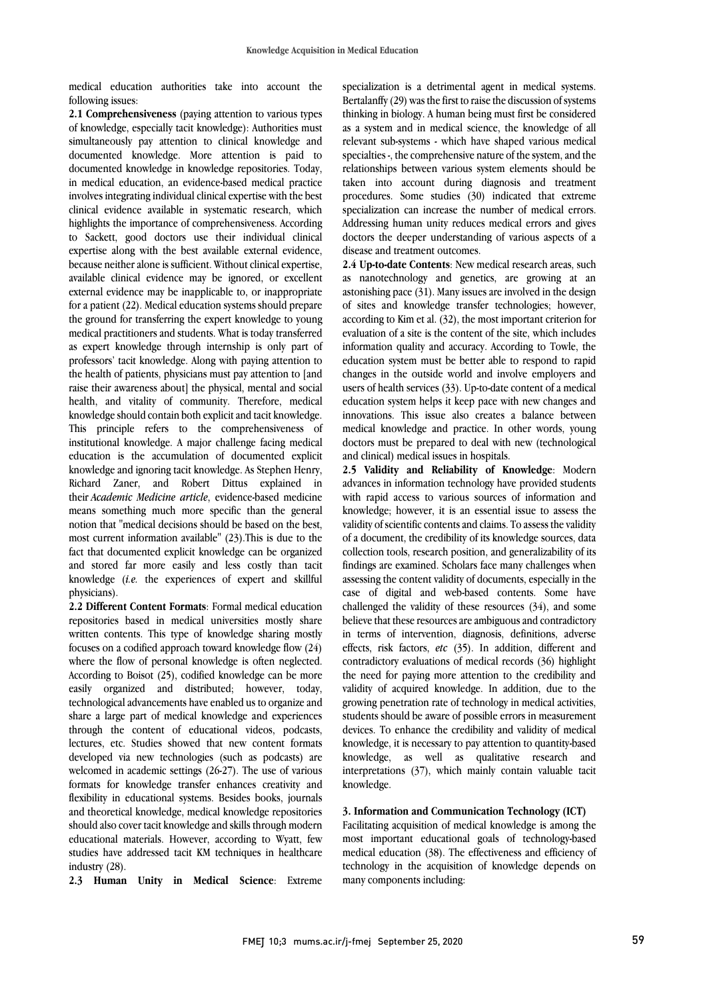medical education authorities take into account the following issues:

**2.1 Comprehensiveness** (paying attention to various types of knowledge, especially tacit knowledge): Authorities must simultaneously pay attention to clinical knowledge and documented knowledge. More attention is paid to documented knowledge in knowledge repositories. Today, in medical education, an evidence-based medical practice involves integrating individual clinical expertise with the best clinical evidence available in systematic research, which highlights the importance of comprehensiveness. According to Sackett, good doctors use their individual clinical expertise along with the best available external evidence, because neither alone is sufficient. Without clinical expertise, available clinical evidence may be ignored, or excellent external evidence may be inapplicable to, or inappropriate for a patient (22). Medical education systems should prepare the ground for transferring the expert knowledge to young medical practitioners and students. What is today transferred as expert knowledge through internship is only part of professors' tacit knowledge. Along with paying attention to the health of patients, physicians must pay attention to [and raise their awareness about] the physical, mental and social health, and vitality of community. Therefore, medical knowledge should contain both explicit and tacit knowledge. This principle refers to the comprehensiveness of institutional knowledge. A major challenge facing medical education is the accumulation of documented explicit knowledge and ignoring tacit knowledge. As Stephen Henry, Richard Zaner, and Robert Dittus explained in their *Academic Medicine article*, evidence-based medicine means something much more specific than the general notion that "medical decisions should be based on the best, most current information available" (23).This is due to the fact that documented explicit knowledge can be organized and stored far more easily and less costly than tacit knowledge (*i.e.* the experiences of expert and skillful physicians).

**2.2 Different Content Formats**: Formal medical education repositories based in medical universities mostly share written contents. This type of knowledge sharing mostly focuses on a codified approach toward knowledge flow (24) where the flow of personal knowledge is often neglected. According to Boisot (25), codified knowledge can be more easily organized and distributed; however, today, technological advancements have enabled us to organize and share a large part of medical knowledge and experiences through the content of educational videos, podcasts, lectures, etc. Studies showed that new content formats developed via new technologies (such as podcasts) are welcomed in academic settings (26-27). The use of various formats for knowledge transfer enhances creativity and flexibility in educational systems. Besides books, journals and theoretical knowledge, medical knowledge repositories should also cover tacit knowledge and skills through modern educational materials. However, according to Wyatt, few studies have addressed tacit KM techniques in healthcare industry (28).

**2.3 Human Unity in Medical Science**: Extreme

 Bertalanffy (29) was the first to raise the discussion of systems thinking in biology. A human being must first be considered as a system and in medical science, the knowledge of all relevant sub-systems - which have shaped various medical relationships between various system elements should be taken into account during diagnosis and treatment procedures. Some studies (30) indicated that extreme specialization can increase the number of medical errors. doctors the deeper understanding of various aspects of a disease and treatment outcomes. specialization is a detrimental agent in medical systems. specialties -, the comprehensive nature of the system, and the Addressing human unity reduces medical errors and gives

 **2.4 Up-to-date Contents**: New medical research areas, such as nanotechnology and genetics, are growing at an  $\alpha$ sionismig pace ( $\beta$ 1). Many issues are involved in the design of sites and knowledge transfer technologies; however, according to Kim et al.  $(32)$ , the most important criterion for evaluation of a site is the content of the site, which includes information quality and accuracy. According to Towle, the changes in the outside world and involve employers and users of health services (33). Up-to-date content of a medical education system helps it keep pace with new changes and innovations. This issue also creates a balance between medical knowledge and practice. In other words, young and clinical) medical issues in hospitals. astonishing pace (31). Many issues are involved in the design education system must be better able to respond to rapid doctors must be prepared to deal with new (technological

 **2.5 Validity and Reliability of Knowledge**: Modern advances in information technology have provided students knowledge; however, it is an essential issue to assess the validity of scientific contents and claims. To assess the validity of a document, the credibility of its knowledge sources, data collection tools, research position, and generalizability of its assessing the content validity of documents, especially in the case of digital and web-based contents. Some have challenged the validity of these resources (34), and some believe that these resources are ambiguous and contradictory effects, risk factors, *etc* (35). In addition, different and contradictory evaluations of medical records (36) highlight the need for paying more attention to the credibility and validity of acquired knowledge. In addition, due to the devices. To enhance the credibility and validity of medical knowledge, it is necessary to pay attention to quantity-based knowledge, as well as qualitative research and knowledge. with rapid access to various sources of information and findings are examined. Scholars face many challenges when in terms of intervention, diagnosis, definitions, adverse growing penetration rate of technology in medical activities, students should be aware of possible errors in measurement interpretations (37), which mainly contain valuable tacit

#### **3. Information and Communication Technology (ICT)**

Facilitating acquisition of medical knowledge is among the most important educational goals of technology-based medical education (38). The effectiveness and efficiency of technology in the acquisition of knowledge depends on many components including: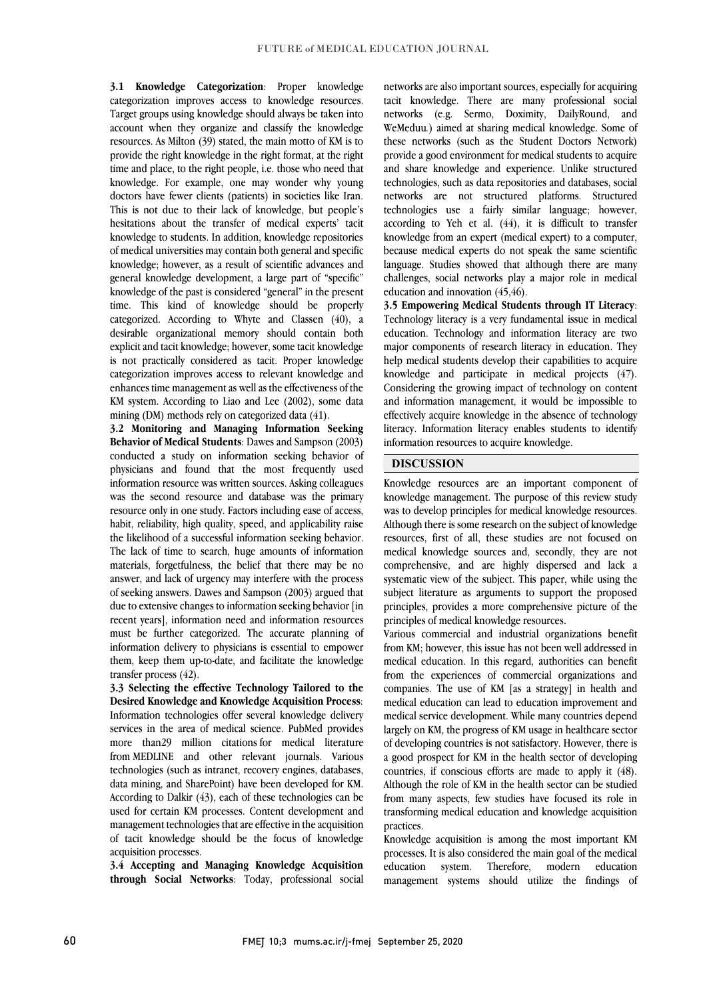**3.1 Knowledge Categorization**: Proper knowledge categorization improves access to knowledge resources. Target groups using knowledge should always be taken into account when they organize and classify the knowledge resources. As Milton (39) stated, the main motto of KM is to provide the right knowledge in the right format, at the right time and place, to the right people, i.e. those who need that knowledge. For example, one may wonder why young doctors have fewer clients (patients) in societies like Iran. This is not due to their lack of knowledge, but people's hesitations about the transfer of medical experts' tacit knowledge to students. In addition, knowledge repositories of medical universities may contain both general and specific knowledge; however, as a result of scientific advances and general knowledge development, a large part of "specific" knowledge of the past is considered "general" in the present time. This kind of knowledge should be properly categorized. According to Whyte and Classen (40), a desirable organizational memory should contain both explicit and tacit knowledge; however, some tacit knowledge is not practically considered as tacit. Proper knowledge categorization improves access to relevant knowledge and enhances time management as well as the effectiveness of the KM system. According to Liao and Lee (2002), some data mining (DM) methods rely on categorized data (41).

**3.2 Monitoring and Managing Information Seeking Behavior of Medical Students**: Dawes and Sampson (2003) conducted a study on information seeking behavior of physicians and found that the most frequently used information resource was written sources. Asking colleagues was the second resource and database was the primary resource only in one study. Factors including ease of access, habit, reliability, high quality, speed, and applicability raise the likelihood of a successful information seeking behavior. The lack of time to search, huge amounts of information materials, forgetfulness, the belief that there may be no answer, and lack of urgency may interfere with the process of seeking answers. Dawes and Sampson (2003) argued that due to extensive changes to information seeking behavior [in recent years], information need and information resources must be further categorized. The accurate planning of information delivery to physicians is essential to empower them, keep them up-to-date, and facilitate the knowledge transfer process (42).

**3.3 Selecting the effective Technology Tailored to the Desired Knowledge and Knowledge Acquisition Process**: Information technologies offer several knowledge delivery services in the area of medical science. PubMed provides more than29 million citations for medical literature from MEDLINE and other relevant journals. Various technologies (such as intranet, recovery engines, databases, data mining, and SharePoint) have been developed for KM. According to Dalkir (43), each of these technologies can be used for certain KM processes. Content development and management technologies that are effective in the acquisition of tacit knowledge should be the focus of knowledge acquisition processes.

**3.4 Accepting and Managing Knowledge Acquisition through Social Networks**: Today, professional social networks are also important sources, especially for acquiring tacit knowledge. There are many professional social networks (e.g. Sermo, Doximity, DailyRound, and WeMeduu*.*) aimed at sharing medical knowledge. Some of these networks (such as the Student Doctors Network) provide a good environment for medical students to acquire and share knowledge and experience. Unlike structured technologies, such as data repositories and databases, social networks are not structured platforms. Structured technologies use a fairly similar language; however, according to Yeh et al. (44), it is difficult to transfer knowledge from an expert (medical expert) to a computer, because medical experts do not speak the same scientific language. Studies showed that although there are many challenges, social networks play a major role in medical education and innovation (45,46).

**3.5 Empowering Medical Students through IT Literacy**: Technology literacy is a very fundamental issue in medical education. Technology and information literacy are two major components of research literacy in education. They help medical students develop their capabilities to acquire knowledge and participate in medical projects (47). Considering the growing impact of technology on content and information management, it would be impossible to effectively acquire knowledge in the absence of technology literacy. Information literacy enables students to identify information resources to acquire knowledge.

### **DISCUSSION**

Knowledge resources are an important component of knowledge management. The purpose of this review study was to develop principles for medical knowledge resources. Although there is some research on the subject of knowledge resources, first of all, these studies are not focused on medical knowledge sources and, secondly, they are not comprehensive, and are highly dispersed and lack a systematic view of the subject. This paper, while using the subject literature as arguments to support the proposed principles, provides a more comprehensive picture of the principles of medical knowledge resources.

Various commercial and industrial organizations benefit from KM; however, this issue has not been well addressed in medical education. In this regard, authorities can benefit from the experiences of commercial organizations and companies. The use of KM [as a strategy] in health and medical education can lead to education improvement and medical service development. While many countries depend largely on KM, the progress of KM usage in healthcare sector of developing countries is not satisfactory. However, there is a good prospect for KM in the health sector of developing countries, if conscious efforts are made to apply it (48). Although the role of KM in the health sector can be studied from many aspects, few studies have focused its role in transforming medical education and knowledge acquisition practices.

Knowledge acquisition is among the most important KM processes. It is also considered the main goal of the medical education system. Therefore, modern education management systems should utilize the findings of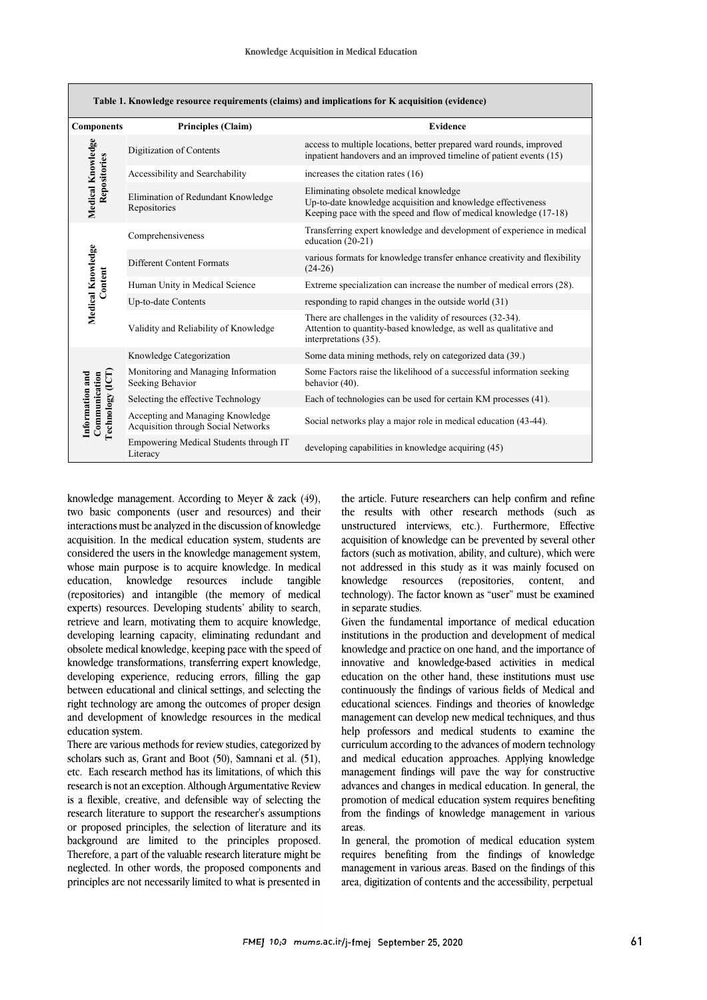| Table 1. Knowledge resource requirements (claims) and implications for K acquisition (evidence) |                                                                         |                                                                                                                                                                             |
|-------------------------------------------------------------------------------------------------|-------------------------------------------------------------------------|-----------------------------------------------------------------------------------------------------------------------------------------------------------------------------|
| <b>Components</b>                                                                               | Principles (Claim)                                                      | <b>Evidence</b>                                                                                                                                                             |
| Medical Knowledge<br>Repositories                                                               | Digitization of Contents                                                | access to multiple locations, better prepared ward rounds, improved<br>inpatient handovers and an improved timeline of patient events (15)                                  |
|                                                                                                 | Accessibility and Searchability                                         | increases the citation rates (16)                                                                                                                                           |
|                                                                                                 | Elimination of Redundant Knowledge<br>Repositories                      | Eliminating obsolete medical knowledge<br>Up-to-date knowledge acquisition and knowledge effectiveness<br>Keeping pace with the speed and flow of medical knowledge (17-18) |
| Medical Knowledge<br>Content                                                                    | Comprehensiveness                                                       | Transferring expert knowledge and development of experience in medical<br>education $(20-21)$                                                                               |
|                                                                                                 | <b>Different Content Formats</b>                                        | various formats for knowledge transfer enhance creativity and flexibility<br>$(24-26)$                                                                                      |
|                                                                                                 | Human Unity in Medical Science                                          | Extreme specialization can increase the number of medical errors (28).                                                                                                      |
|                                                                                                 | Up-to-date Contents                                                     | responding to rapid changes in the outside world (31)                                                                                                                       |
|                                                                                                 | Validity and Reliability of Knowledge                                   | There are challenges in the validity of resources (32-34).<br>Attention to quantity-based knowledge, as well as qualitative and<br>interpretations (35).                    |
| Technology (ICT)<br>Communication<br>Information and                                            | Knowledge Categorization                                                | Some data mining methods, rely on categorized data (39.)                                                                                                                    |
|                                                                                                 | Monitoring and Managing Information<br>Seeking Behavior                 | Some Factors raise the likelihood of a successful information seeking<br>behavior (40).                                                                                     |
|                                                                                                 | Selecting the effective Technology                                      | Each of technologies can be used for certain KM processes (41).                                                                                                             |
|                                                                                                 | Accepting and Managing Knowledge<br>Acquisition through Social Networks | Social networks play a major role in medical education (43-44).                                                                                                             |
|                                                                                                 | Empowering Medical Students through IT<br>Literacy                      | developing capabilities in knowledge acquiring (45)                                                                                                                         |

knowledge management. According to Meyer & zack (49), two basic components (user and resources) and their interactions must be analyzed in the discussion of knowledge acquisition. In the medical education system, students are considered the users in the knowledge management system, whose main purpose is to acquire knowledge. In medical education. <br>
knowledge resources include tangible education, knowledge resources include tangible (repositories) and intangible (the memory of medical experts) resources. Developing students' ability to search, retrieve and learn, motivating them to acquire knowledge, developing learning capacity, eliminating redundant and obsolete medical knowledge, keeping pace with the speed of knowledge transformations, transferring expert knowledge, developing experience, reducing errors, filling the gap between educational and clinical settings, and selecting the right technology are among the outcomes of proper design and development of knowledge resources in the medical education system.

There are various methods for review studies, categorized by scholars such as, Grant and Boot (50), Samnani et al. (51), etc. Each research method has its limitations, of which this research is not an exception. Although Argumentative Review is a flexible, creative, and defensible way of selecting the research literature to support the researcher's assumptions or proposed principles, the selection of literature and its background are limited to the principles proposed. Therefore, a part of the valuable research literature might be neglected. In other words, the proposed components and principles are not necessarily limited to what is presented in

the article. Future researchers can help confirm and refine the results with other research methods (such as unstructured interviews, etc.). Furthermore, Effective acquisition of knowledge can be prevented by several other factors (such as motivation, ability, and culture), which were not addressed in this study as it was mainly focused on knowledge resources (repositories, content, and technology). The factor known as "user" must be examined in separate studies.

Given the fundamental importance of medical education institutions in the production and development of medical knowledge and practice on one hand, and the importance of innovative and knowledge-based activities in medical education on the other hand, these institutions must use continuously the findings of various fields of Medical and educational sciences. Findings and theories of knowledge management can develop new medical techniques, and thus help professors and medical students to examine the curriculum according to the advances of modern technology and medical education approaches. Applying knowledge management findings will pave the way for constructive advances and changes in medical education. In general, the promotion of medical education system requires benefiting from the findings of knowledge management in various areas.

In general, the promotion of medical education system requires benefiting from the findings of knowledge management in various areas. Based on the findings of this area, digitization of contents and the accessibility, perpetual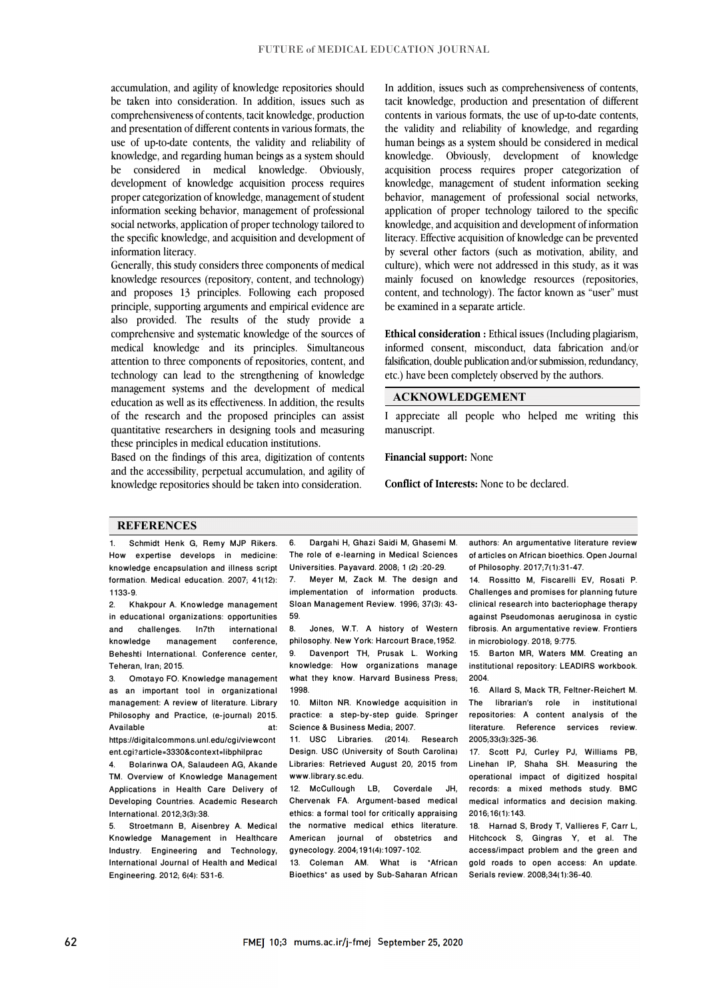accumulation, and agility of knowledge repositories should be taken into consideration. In addition, issues such as comprehensiveness of contents, tacit knowledge, production and presentation of different contents in various formats, the use of up-to-date contents, the validity and reliability of knowledge, and regarding human beings as a system should be considered in medical knowledge. Obviously, development of knowledge acquisition process requires proper categorization of knowledge, management of student information seeking behavior, management of professional social networks, application of proper technology tailored to the specific knowledge, and acquisition and development of information literacy.

Generally, this study considers three components of medical knowledge resources (repository, content, and technology) and proposes 13 principles. Following each proposed principle, supporting arguments and empirical evidence are also provided. The results of the study provide a comprehensive and systematic knowledge of the sources of medical knowledge and its principles. Simultaneous attention to three components of repositories, content, and technology can lead to the strengthening of knowledge management systems and the development of medical education as well as its effectiveness. In addition, the results of the research and the proposed principles can assist quantitative researchers in designing tools and measuring these principles in medical education institutions.

Based on the findings of this area, digitization of contents and the accessibility, perpetual accumulation, and agility of knowledge repositories should be taken into consideration.

In addition, issues such as comprehensiveness of contents, tacit knowledge, production and presentation of different contents in various formats, the use of up-to-date contents, the validity and reliability of knowledge, and regarding human beings as a system should be considered in medical knowledge. Obviously, development of knowledge acquisition process requires proper categorization of knowledge, management of student information seeking behavior, management of professional social networks, application of proper technology tailored to the specific knowledge, and acquisition and development of information literacy. Effective acquisition of knowledge can be prevented by several other factors (such as motivation, ability, and culture), which were not addressed in this study, as it was mainly focused on knowledge resources (repositories, content, and technology). The factor known as "user" must be examined in a separate article.

**Ethical consideration :** Ethical issues (Including plagiarism, informed consent, misconduct, data fabrication and/or falsification, double publication and/or submission, redundancy, etc.) have been completely observed by the authors.

### **ACKNOWLEDGEMENT**

I appreciate all people who helped me writing this manuscript.

**Financial support:** None

**Conflict of Interests:** None to be declared.

### **REFERENCES**

1. Schmidt Henk G, Remy MJP Rikers. How expertise develops in medicine: knowledge encapsulation and illness script formation. Medical education. 2007; 41(12): 1133-9.

2. Khakpour A. Knowledge management in educational organizations: opportunities<br>and challenges. In7th international and challenges. In7th international knowledge management conference, Beheshti International. Conference center, Teheran, Iran; 2015.

3. Omotayo FO. Knowledge management as an important tool in organizational management: A review of literature. Library Philosophy and Practice, (e-journal) 2015. Available at: at:

https://digitalcommons.unl.edu/cgi/viewcont ent.cgi?article=3330&context=libphilprac

4. Bolarinwa OA, Salaudeen AG, Akande TM. Overview of Knowledge Management Applications in Health Care Delivery of Developing Countries. Academic Research International. 2012;3(3):38.

5. Stroetmann B, Aisenbrey A. Medical Knowledge Management in Healthcare Industry. Engineering and Technology, International Journal of Health and Medical Engineering. 2012; 6(4): 531-6.

6. Dargahi H, Ghazi Saidi M, Ghasemi M. The role of e-learning in Medical Sciences Universities. Payavard. 2008; 1 (2) :20-29.

Meyer M, Zack M. The design and implementation of information products. Sloan Management Review. 1996; 37(3): 43- 59.

Jones, W.T. A history of Western philosophy. New York: Harcourt Brace,1952. 9. Davenport TH, Prusak L. Working knowledge: How organizations manage what they know. Harvard Business Press: 1998.

10. Milton NR. Knowledge acquisition in practice: a step-by-step guide. Springer Science & Business Media; 2007.

11. USC Libraries. (2014). Research Design. USC (University of South Carolina) Libraries: Retrieved August 20, 2015 from www.library.sc.edu.

12. McCullough LB, Coverdale JH, Chervenak FA. Argument-based medical ethics: a formal tool for critically appraising the normative medical ethics literature. American journal of obstetrics and gynecology. 2004;191(4):1097-102.

13. Coleman AM. What is "African Bioethics" as used by Sub-Saharan African authors: An argumentative literature review of articles on African bioethics. Open Journal of Philosophy. 2017;7(1):31-47.

14. Rossitto M, Fiscarelli EV, Rosati P. Challenges and promises for planning future clinical research into bacteriophage therapy against Pseudomonas aeruginosa in cystic fibrosis. An argumentative review. Frontiers in microbiology. 2018; 9:775.

15. Barton MR, Waters MM. Creating an institutional repository: LEADIRS workbook. 2004.

16. Allard S, Mack TR, Feltner-Reichert M. The librarian's role in institutional repositories: A content analysis of the literature. Reference services review. 2005;33(3):325-36.

17. Scott PJ, Curley PJ, Williams PB, Linehan IP, Shaha SH. Measuring the operational impact of digitized hospital records: a mixed methods study. BMC medical informatics and decision making. 2016;16(1):143.

18. Harnad S, Brody T, Vallieres F, Carr L, Hitchcock S, Gingras Y, et al. The access/impact problem and the green and gold roads to open access: An update. Serials review. 2008;34(1):36-40.